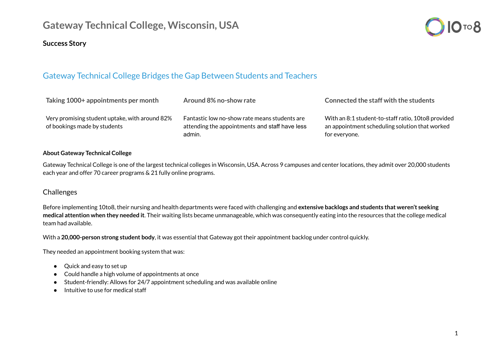# **Gateway Technical College, Wisconsin, USA**

### **Success Story**



## Gateway Technical College Bridges the Gap Between Students and Teachers

| Taking 1000+ appointments per month                                            | Around 8% no-show rate                                                                                    | Connected the staff with the students                                                                                 |
|--------------------------------------------------------------------------------|-----------------------------------------------------------------------------------------------------------|-----------------------------------------------------------------------------------------------------------------------|
| Very promising student uptake, with around 82%<br>of bookings made by students | Fantastic low no-show rate means students are<br>attending the appointments and staff have less<br>admin. | With an 8:1 student-to-staff ratio, 10to8 provided<br>an appointment scheduling solution that worked<br>for everyone. |

#### **About Gateway Technical College**

Gateway Technical College is one of the largest technical colleges in Wisconsin, USA. Across 9 campuses and center locations, they admit over 20,000 students each year and offer 70 career programs & 21 fully online programs.

#### **Challenges**

Before implementing 10to8, their nursing and health departments were faced with challenging and **extensive backlogs and students that weren't seeking medical attention when they needed it**. Their waiting lists became unmanageable, which was consequently eating into the resources that the college medical team had available.

With a **20,000-person strong student body**, it was essential that Gateway got their appointment backlog under control quickly.

They needed an appointment booking system that was:

- Quick and easy to set up
- Could handle a high volume of appointments at once
- Student-friendly: Allows for 24/7 appointment scheduling and was available online
- Intuitive to use for medical staff